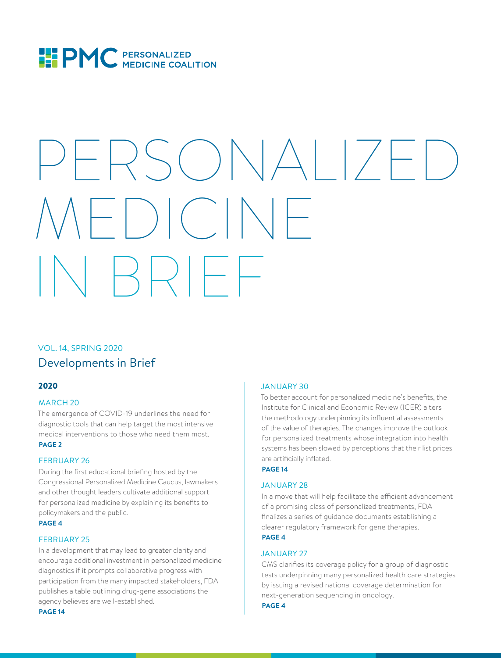

# PERSONALIZE  $\Big\vert$   $\Big($ IN BRIEF

#### VOL. 14, SPRING 2020 Developments in Brief

#### 2020

#### MARCH 20

The emergence of COVID-19 underlines the need for diagnostic tools that can help target the most intensive medical interventions to those who need them most. **PAGE 2**

#### FEBRUARY 26

During the first educational briefing hosted by the Congressional Personalized Medicine Caucus, lawmakers and other thought leaders cultivate additional support for personalized medicine by explaining its benefits to policymakers and the public.

#### **PAGE 4**

#### FEBRUARY 25

In a development that may lead to greater clarity and encourage additional investment in personalized medicine diagnostics if it prompts collaborative progress with participation from the many impacted stakeholders, FDA publishes a table outlining drug-gene associations the agency believes are well-established.

#### JANUARY 30

To better account for personalized medicine's benefits, the Institute for Clinical and Economic Review (ICER) alters the methodology underpinning its influential assessments of the value of therapies. The changes improve the outlook for personalized treatments whose integration into health systems has been slowed by perceptions that their list prices are artificially inflated.

#### **PAGE 14**

#### JANUARY 28

In a move that will help facilitate the efficient advancement of a promising class of personalized treatments, FDA finalizes a series of guidance documents establishing a clearer regulatory framework for gene therapies. **PAGE 4**

#### JANUARY 27

CMS clarifies its coverage policy for a group of diagnostic tests underpinning many personalized health care strategies by issuing a revised national coverage determination for next-generation sequencing in oncology.

#### **PAGE 4**

**PAGE 14**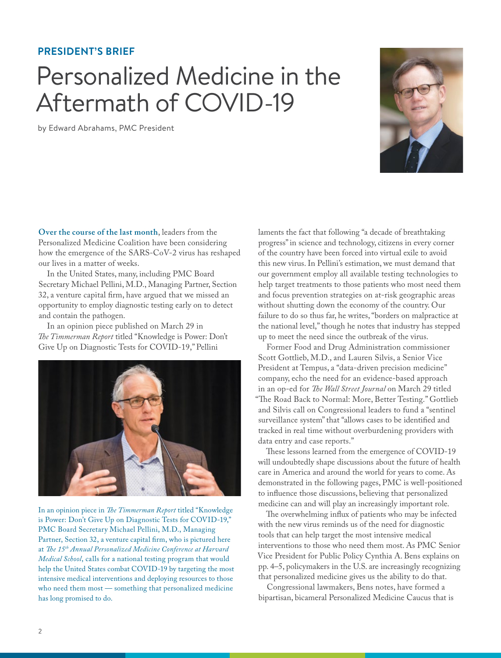#### **PRESIDENT'S BRIEF**

### Personalized Medicine in the Aftermath of COVID-19

by Edward Abrahams, PMC President



**Over the course of the last month**, leaders from the Personalized Medicine Coalition have been considering how the emergence of the SARS-CoV-2 virus has reshaped our lives in a matter of weeks.

In the United States, many, including PMC Board Secretary Michael Pellini, M.D., Managing Partner, Section 32, a venture capital firm, have argued that we missed an opportunity to employ diagnostic testing early on to detect and contain the pathogen.

In an opinion piece published on March 29 in *The Timmerman Report* titled "Knowledge is Power: Don't Give Up on Diagnostic Tests for COVID-19," Pellini



In an opinion piece in *The Timmerman Report* titled "Knowledge is Power: Don't Give Up on Diagnostic Tests for COVID-19," PMC Board Secretary Michael Pellini, M.D., Managing Partner, Section 32, a venture capital firm, who is pictured here at *The 15th Annual Personalized Medicine Conference at Harvard Medical School*, calls for a national testing program that would help the United States combat COVID-19 by targeting the most intensive medical interventions and deploying resources to those who need them most — something that personalized medicine has long promised to do.

laments the fact that following "a decade of breathtaking progress" in science and technology, citizens in every corner of the country have been forced into virtual exile to avoid this new virus. In Pellini's estimation, we must demand that our government employ all available testing technologies to help target treatments to those patients who most need them and focus prevention strategies on at-risk geographic areas without shutting down the economy of the country. Our failure to do so thus far, he writes, "borders on malpractice at the national level," though he notes that industry has stepped up to meet the need since the outbreak of the virus.

Former Food and Drug Administration commissioner Scott Gottlieb, M.D., and Lauren Silvis, a Senior Vice President at Tempus, a "data-driven precision medicine" company, echo the need for an evidence-based approach in an op-ed for *The Wall Street Journal* on March 29 titled "The Road Back to Normal: More, Better Testing." Gottlieb and Silvis call on Congressional leaders to fund a "sentinel surveillance system" that "allows cases to be identified and tracked in real time without overburdening providers with data entry and case reports."

These lessons learned from the emergence of COVID-19 will undoubtedly shape discussions about the future of health care in America and around the world for years to come. As demonstrated in the following pages, PMC is well-positioned to influence those discussions, believing that personalized medicine can and will play an increasingly important role.

The overwhelming influx of patients who may be infected with the new virus reminds us of the need for diagnostic tools that can help target the most intensive medical interventions to those who need them most. As PMC Senior Vice President for Public Policy Cynthia A. Bens explains on pp. 4–5, policymakers in the U.S. are increasingly recognizing that personalized medicine gives us the ability to do that.

Congressional lawmakers, Bens notes, have formed a bipartisan, bicameral Personalized Medicine Caucus that is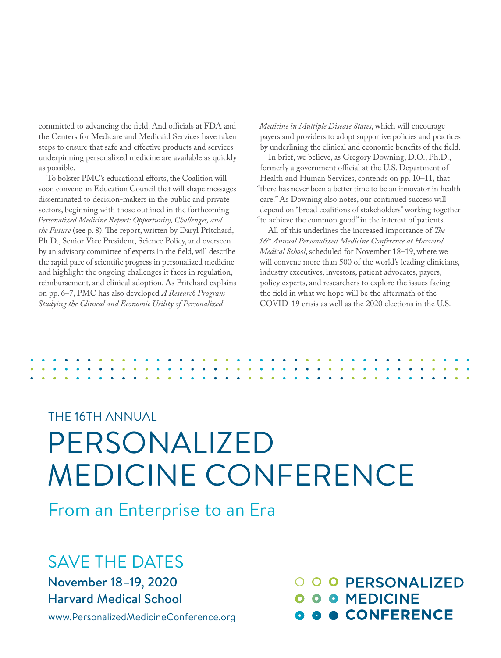committed to advancing the field. And officials at FDA and the Centers for Medicare and Medicaid Services have taken steps to ensure that safe and effective products and services underpinning personalized medicine are available as quickly as possible.

To bolster PMC's educational efforts, the Coalition will soon convene an Education Council that will shape messages disseminated to decision-makers in the public and private sectors, beginning with those outlined in the forthcoming *Personalized Medicine Report: Opportunity, Challenges, and the Future* (see p. 8). The report, written by Daryl Pritchard, Ph.D., Senior Vice President, Science Policy, and overseen by an advisory committee of experts in the field, will describe the rapid pace of scientific progress in personalized medicine and highlight the ongoing challenges it faces in regulation, reimbursement, and clinical adoption. As Pritchard explains on pp. 6–7, PMC has also developed *A Research Program Studying the Clinical and Economic Utility of Personalized* 

*Medicine in Multiple Disease States*, which will encourage payers and providers to adopt supportive policies and practices by underlining the clinical and economic benefits of the field.

In brief, we believe, as Gregory Downing, D.O., Ph.D., formerly a government official at the U.S. Department of Health and Human Services, contends on pp. 10–11, that "there has never been a better time to be an innovator in health care." As Downing also notes, our continued success will depend on "broad coalitions of stakeholders" working together "to achieve the common good" in the interest of patients.

All of this underlines the increased importance of *The 16th Annual Personalized Medicine Conference at Harvard Medical School*, scheduled for November 18–19, where we will convene more than 500 of the world's leading clinicians, industry executives, investors, patient advocates, payers, policy experts, and researchers to explore the issues facing the field in what we hope will be the aftermath of the COVID-19 crisis as well as the 2020 elections in the U.S.

## THE 16TH ANNUAL PERSONALIZED MEDICINE CONFERENCE

From an Enterprise to an Era

### SAVE THE DATES

November 18–19, 2020 Harvard Medical School

www.PersonalizedMedicineConference.org

O O O PERSONALIZED **O O O MEDICINE** CONFERENCE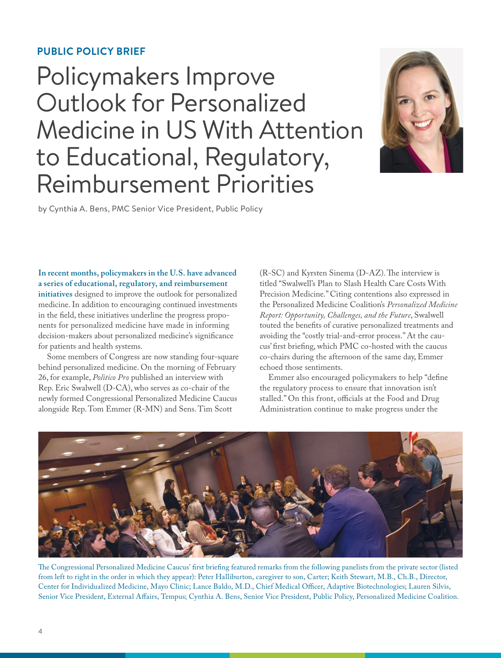#### **PUBLIC POLICY BRIEF**

### Policymakers Improve Outlook for Personalized Medicine in US With Attention to Educational, Regulatory, Reimbursement Priorities



by Cynthia A. Bens, PMC Senior Vice President, Public Policy

**In recent months, policymakers in the U.S. have advanced a series of educational, regulatory, and reimbursement initiatives** designed to improve the outlook for personalized medicine. In addition to encouraging continued investments in the field, these initiatives underline the progress proponents for personalized medicine have made in informing decision-makers about personalized medicine's significance for patients and health systems.

Some members of Congress are now standing four-square behind personalized medicine. On the morning of February 26, for example, *Politico Pro* published an interview with Rep. Eric Swalwell (D-CA), who serves as co-chair of the newly formed Congressional Personalized Medicine Caucus alongside Rep. Tom Emmer (R-MN) and Sens. Tim Scott

(R-SC) and Kyrsten Sinema (D-AZ). The interview is titled "Swalwell's Plan to Slash Health Care Costs With Precision Medicine." Citing contentions also expressed in the Personalized Medicine Coalition's *Personalized Medicine Report: Opportunity, Challenges, and the Future*, Swalwell touted the benefits of curative personalized treatments and avoiding the "costly trial-and-error process." At the caucus' first briefing, which PMC co-hosted with the caucus co-chairs during the afternoon of the same day, Emmer echoed those sentiments.

Emmer also encouraged policymakers to help "define the regulatory process to ensure that innovation isn't stalled." On this front, officials at the Food and Drug Administration continue to make progress under the



The Congressional Personalized Medicine Caucus' first briefing featured remarks from the following panelists from the private sector (listed from left to right in the order in which they appear): Peter Halliburton, caregiver to son, Carter; Keith Stewart, M.B., Ch.B., Director, Center for Individualized Medicine, Mayo Clinic; Lance Baldo, M.D., Chief Medical Officer, Adaptive Biotechnologies; Lauren Silvis, Senior Vice President, External Affairs, Tempus; Cynthia A. Bens, Senior Vice President, Public Policy, Personalized Medicine Coalition.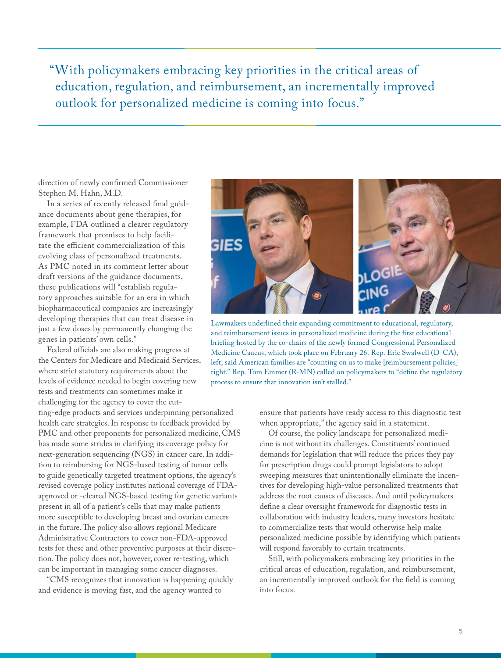"With policymakers embracing key priorities in the critical areas of education, regulation, and reimbursement, an incrementally improved outlook for personalized medicine is coming into focus."

direction of newly confirmed Commissioner Stephen M. Hahn, M.D.

In a series of recently released final guidance documents about gene therapies, for example, FDA outlined a clearer regulatory framework that promises to help facilitate the efficient commercialization of this evolving class of personalized treatments. As PMC noted in its comment letter about draft versions of the guidance documents, these publications will "establish regulatory approaches suitable for an era in which biopharmaceutical companies are increasingly developing therapies that can treat disease in just a few doses by permanently changing the genes in patients' own cells."

Federal officials are also making progress at the Centers for Medicare and Medicaid Services, where strict statutory requirements about the levels of evidence needed to begin covering new tests and treatments can sometimes make it challenging for the agency to cover the cutting-edge products and services underpinning personalized

health care strategies. In response to feedback provided by PMC and other proponents for personalized medicine, CMS has made some strides in clarifying its coverage policy for next-generation sequencing (NGS) in cancer care. In addition to reimbursing for NGS-based testing of tumor cells to guide genetically targeted treatment options, the agency's revised coverage policy institutes national coverage of FDAapproved or -cleared NGS-based testing for genetic variants present in all of a patient's cells that may make patients more susceptible to developing breast and ovarian cancers in the future. The policy also allows regional Medicare Administrative Contractors to cover non-FDA-approved tests for these and other preventive purposes at their discretion. The policy does not, however, cover re-testing, which can be important in managing some cancer diagnoses.

"CMS recognizes that innovation is happening quickly and evidence is moving fast, and the agency wanted to



Lawmakers underlined their expanding commitment to educational, regulatory, and reimbursement issues in personalized medicine during the first educational briefing hosted by the co-chairs of the newly formed Congressional Personalized Medicine Caucus, which took place on February 26. Rep. Eric Swalwell (D-CA), left, said American families are "counting on us to make [reimbursement policies] right." Rep. Tom Emmer (R-MN) called on policymakers to "define the regulatory process to ensure that innovation isn't stalled."

ensure that patients have ready access to this diagnostic test when appropriate," the agency said in a statement.

Of course, the policy landscape for personalized medicine is not without its challenges. Constituents' continued demands for legislation that will reduce the prices they pay for prescription drugs could prompt legislators to adopt sweeping measures that unintentionally eliminate the incentives for developing high-value personalized treatments that address the root causes of diseases. And until policymakers define a clear oversight framework for diagnostic tests in collaboration with industry leaders, many investors hesitate to commercialize tests that would otherwise help make personalized medicine possible by identifying which patients will respond favorably to certain treatments.

Still, with policymakers embracing key priorities in the critical areas of education, regulation, and reimbursement, an incrementally improved outlook for the field is coming into focus.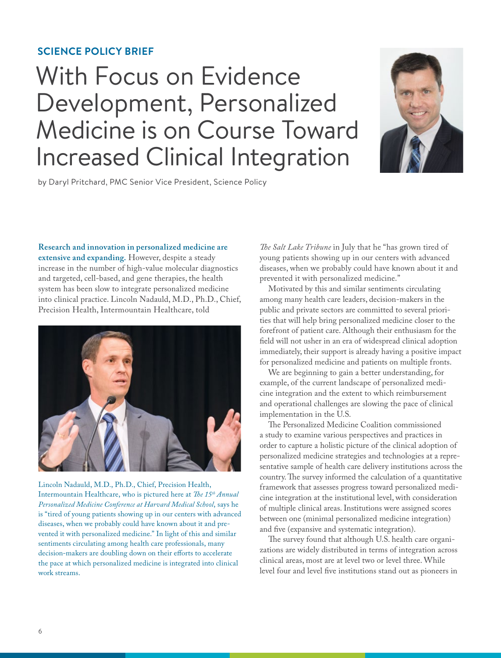#### **SCIENCE POLICY BRIEF**

## With Focus on Evidence Development, Personalized Medicine is on Course Toward Increased Clinical Integration



by Daryl Pritchard, PMC Senior Vice President, Science Policy

**Research and innovation in personalized medicine are** 

**extensive and expanding.** However, despite a steady increase in the number of high-value molecular diagnostics and targeted, cell-based, and gene therapies, the health system has been slow to integrate personalized medicine into clinical practice. Lincoln Nadauld, M.D., Ph.D., Chief, Precision Health, Intermountain Healthcare, told



Lincoln Nadauld, M.D., Ph.D., Chief, Precision Health, Intermountain Healthcare, who is pictured here at *The 15<sup>th</sup> Annual Personalized Medicine Conference at Harvard Medical School*, says he is "tired of young patients showing up in our centers with advanced diseases, when we probably could have known about it and prevented it with personalized medicine." In light of this and similar sentiments circulating among health care professionals, many decision-makers are doubling down on their efforts to accelerate the pace at which personalized medicine is integrated into clinical work streams.

*The Salt Lake Tribune* in July that he "has grown tired of young patients showing up in our centers with advanced diseases, when we probably could have known about it and prevented it with personalized medicine."

Motivated by this and similar sentiments circulating among many health care leaders, decision-makers in the public and private sectors are committed to several priorities that will help bring personalized medicine closer to the forefront of patient care. Although their enthusiasm for the field will not usher in an era of widespread clinical adoption immediately, their support is already having a positive impact for personalized medicine and patients on multiple fronts.

We are beginning to gain a better understanding, for example, of the current landscape of personalized medicine integration and the extent to which reimbursement and operational challenges are slowing the pace of clinical implementation in the U.S.

The Personalized Medicine Coalition commissioned a study to examine various perspectives and practices in order to capture a holistic picture of the clinical adoption of personalized medicine strategies and technologies at a representative sample of health care delivery institutions across the country. The survey informed the calculation of a quantitative framework that assesses progress toward personalized medicine integration at the institutional level, with consideration of multiple clinical areas. Institutions were assigned scores between one (minimal personalized medicine integration) and five (expansive and systematic integration).

The survey found that although U.S. health care organizations are widely distributed in terms of integration across clinical areas, most are at level two or level three. While level four and level five institutions stand out as pioneers in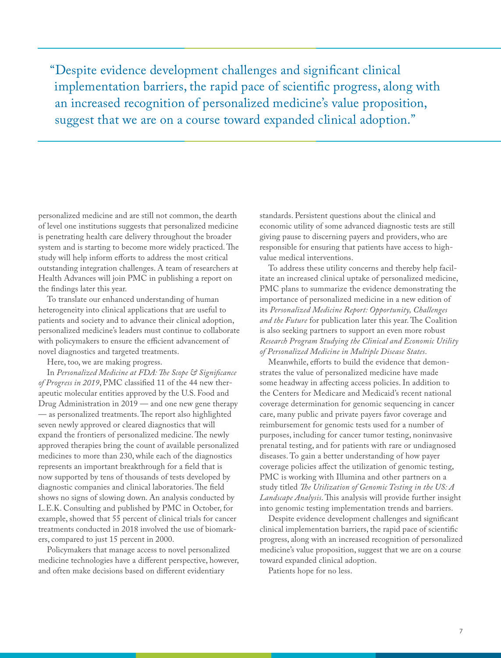"Despite evidence development challenges and significant clinical implementation barriers, the rapid pace of scientific progress, along with an increased recognition of personalized medicine's value proposition, suggest that we are on a course toward expanded clinical adoption."

personalized medicine and are still not common, the dearth of level one institutions suggests that personalized medicine is penetrating health care delivery throughout the broader system and is starting to become more widely practiced. The study will help inform efforts to address the most critical outstanding integration challenges. A team of researchers at Health Advances will join PMC in publishing a report on the findings later this year.

To translate our enhanced understanding of human heterogeneity into clinical applications that are useful to patients and society and to advance their clinical adoption, personalized medicine's leaders must continue to collaborate with policymakers to ensure the efficient advancement of novel diagnostics and targeted treatments.

Here, too, we are making progress.

In *Personalized Medicine at FDA: The Scope & Significance of Progress in 2019*, PMC classified 11 of the 44 new therapeutic molecular entities approved by the U.S. Food and Drug Administration in 2019 — and one new gene therapy — as personalized treatments. The report also highlighted seven newly approved or cleared diagnostics that will expand the frontiers of personalized medicine. The newly approved therapies bring the count of available personalized medicines to more than 230, while each of the diagnostics represents an important breakthrough for a field that is now supported by tens of thousands of tests developed by diagnostic companies and clinical laboratories. The field shows no signs of slowing down. An analysis conducted by L.E.K. Consulting and published by PMC in October, for example, showed that 55 percent of clinical trials for cancer treatments conducted in 2018 involved the use of biomarkers, compared to just 15 percent in 2000.

Policymakers that manage access to novel personalized medicine technologies have a different perspective, however, and often make decisions based on different evidentiary

standards. Persistent questions about the clinical and economic utility of some advanced diagnostic tests are still giving pause to discerning payers and providers, who are responsible for ensuring that patients have access to highvalue medical interventions.

To address these utility concerns and thereby help facilitate an increased clinical uptake of personalized medicine, PMC plans to summarize the evidence demonstrating the importance of personalized medicine in a new edition of its *Personalized Medicine Report: Opportunity, Challenges and the Future* for publication later this year. The Coalition is also seeking partners to support an even more robust *Research Program Studying the Clinical and Economic Utility of Personalized Medicine in Multiple Disease States*.

Meanwhile, efforts to build the evidence that demonstrates the value of personalized medicine have made some headway in affecting access policies. In addition to the Centers for Medicare and Medicaid's recent national coverage determination for genomic sequencing in cancer care, many public and private payers favor coverage and reimbursement for genomic tests used for a number of purposes, including for cancer tumor testing, noninvasive prenatal testing, and for patients with rare or undiagnosed diseases. To gain a better understanding of how payer coverage policies affect the utilization of genomic testing, PMC is working with Illumina and other partners on a study titled *The Utilization of Genomic Testing in the US: A Landscape Analysis*. This analysis will provide further insight into genomic testing implementation trends and barriers.

Despite evidence development challenges and significant clinical implementation barriers, the rapid pace of scientific progress, along with an increased recognition of personalized medicine's value proposition, suggest that we are on a course toward expanded clinical adoption.

Patients hope for no less.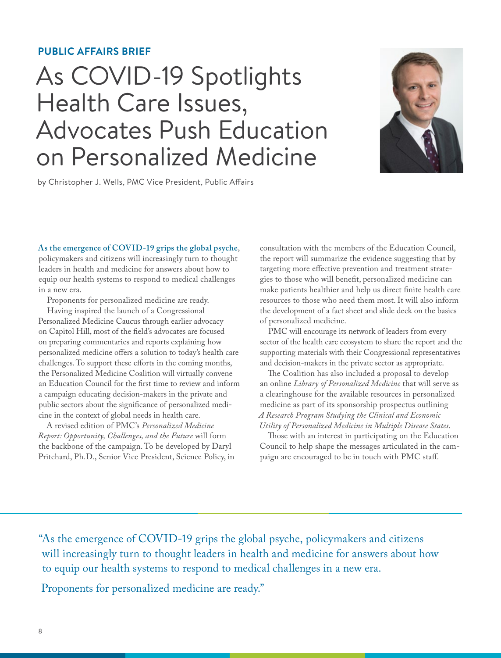#### **PUBLIC AFFAIRS BRIEF**

### As COVID-19 Spotlights Health Care Issues, Advocates Push Education on Personalized Medicine



by Christopher J. Wells, PMC Vice President, Public Affairs

**As the emergence of COVID-19 grips the global psyche**,

policymakers and citizens will increasingly turn to thought leaders in health and medicine for answers about how to equip our health systems to respond to medical challenges in a new era.

Proponents for personalized medicine are ready.

Having inspired the launch of a Congressional Personalized Medicine Caucus through earlier advocacy on Capitol Hill, most of the field's advocates are focused on preparing commentaries and reports explaining how personalized medicine offers a solution to today's health care challenges. To support these efforts in the coming months, the Personalized Medicine Coalition will virtually convene an Education Council for the first time to review and inform a campaign educating decision-makers in the private and public sectors about the significance of personalized medicine in the context of global needs in health care.

A revised edition of PMC's *Personalized Medicine Report: Opportunity, Challenges, and the Future* will form the backbone of the campaign. To be developed by Daryl Pritchard, Ph.D., Senior Vice President, Science Policy, in

consultation with the members of the Education Council, the report will summarize the evidence suggesting that by targeting more effective prevention and treatment strategies to those who will benefit, personalized medicine can make patients healthier and help us direct finite health care resources to those who need them most. It will also inform the development of a fact sheet and slide deck on the basics of personalized medicine.

PMC will encourage its network of leaders from every sector of the health care ecosystem to share the report and the supporting materials with their Congressional representatives and decision-makers in the private sector as appropriate.

The Coalition has also included a proposal to develop an online *Library of Personalized Medicine* that will serve as a clearinghouse for the available resources in personalized medicine as part of its sponsorship prospectus outlining *A Research Program Studying the Clinical and Economic Utility of Personalized Medicine in Multiple Disease States*.

Those with an interest in participating on the Education Council to help shape the messages articulated in the campaign are encouraged to be in touch with PMC staff.

"As the emergence of COVID-19 grips the global psyche, policymakers and citizens will increasingly turn to thought leaders in health and medicine for answers about how to equip our health systems to respond to medical challenges in a new era.

Proponents for personalized medicine are ready."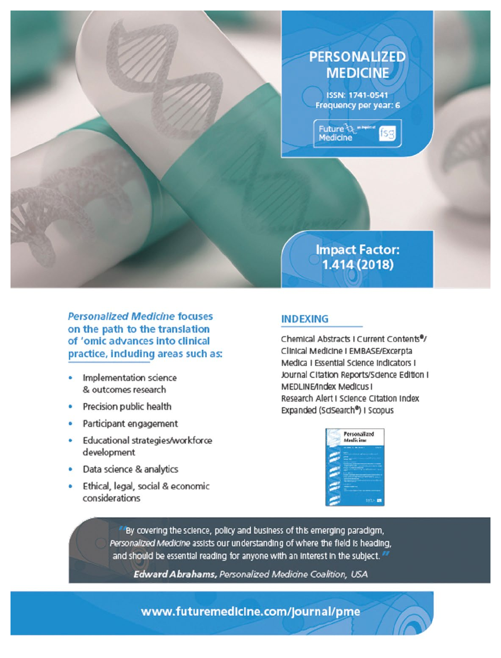### **PERSONALIZED MEDICINE**

ISSN: 1741-0541 Frequency per year: 6

Future *Querrer*<br>Medicine ISS

**Impact Factor:** 1.414 (2018)

**Personalized Medicine focuses** on the path to the translation of 'omic advances into clinical practice, including areas such as:

- Implementation science & outcomes research
- Precision public health
- Participant engagement
- Educational strategies/workforce development
- Data science & analytics
- Ethical, legal, social & economic considerations

#### **INDEXING**

Chemical Abstracts I Current Contents<sup>®</sup>/ Clinical Medicine I EMBASE/Excerpta Medica I Essential Science Indicators I Journal Citation Reports/Sdence Edition I MEDLINE/Index Medicus I Research Alert I Science Citation Index Expanded (SdSearch®) I Scopus



By covering the science, policy and business of this emerging paradigm, Personalized Medicine assists our understanding of where the field is heading, and should be essential reading for anyone with an interest in the subject.

Edward Abrahams, Personalized Medicine Coalition, USA

www.futuremedicine.com/journal/pme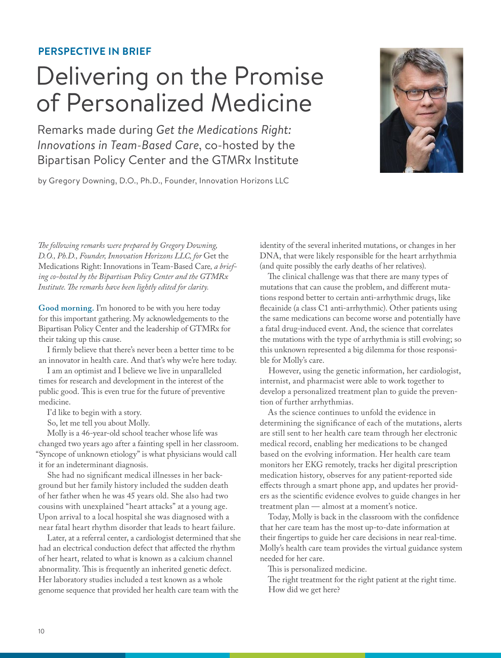#### **PERSPECTIVE IN BRIEF**

### Delivering on the Promise of Personalized Medicine

Remarks made during *Get the Medications Right: Innovations in Team-Based Care*, co-hosted by the Bipartisan Policy Center and the GTMRx Institute

by Gregory Downing, D.O., Ph.D., Founder, Innovation Horizons LLC



*The following remarks were prepared by Gregory Downing, D.O., Ph.D., Founder, Innovation Horizons LLC, for* Get the Medications Right: Innovations in Team-Based Care*, a briefing co-hosted by the Bipartisan Policy Center and the GTMRx Institute. The remarks have been lightly edited for clarity.*

**Good morning.** I'm honored to be with you here today for this important gathering. My acknowledgements to the Bipartisan Policy Center and the leadership of GTMRx for their taking up this cause.

I firmly believe that there's never been a better time to be an innovator in health care. And that's why we're here today.

I am an optimist and I believe we live in unparalleled times for research and development in the interest of the public good. This is even true for the future of preventive medicine.

I'd like to begin with a story.

So, let me tell you about Molly.

Molly is a 46-year-old school teacher whose life was changed two years ago after a fainting spell in her classroom. "Syncope of unknown etiology" is what physicians would call it for an indeterminant diagnosis.

She had no significant medical illnesses in her background but her family history included the sudden death of her father when he was 45 years old. She also had two cousins with unexplained "heart attacks" at a young age. Upon arrival to a local hospital she was diagnosed with a near fatal heart rhythm disorder that leads to heart failure.

Later, at a referral center, a cardiologist determined that she had an electrical conduction defect that affected the rhythm of her heart, related to what is known as a calcium channel abnormality. This is frequently an inherited genetic defect. Her laboratory studies included a test known as a whole genome sequence that provided her health care team with the

identity of the several inherited mutations, or changes in her DNA, that were likely responsible for the heart arrhythmia (and quite possibly the early deaths of her relatives).

The clinical challenge was that there are many types of mutations that can cause the problem, and different mutations respond better to certain anti-arrhythmic drugs, like flecainide (a class C1 anti-arrhythmic). Other patients using the same medications can become worse and potentially have a fatal drug-induced event. And, the science that correlates the mutations with the type of arrhythmia is still evolving; so this unknown represented a big dilemma for those responsible for Molly's care.

However, using the genetic information, her cardiologist, internist, and pharmacist were able to work together to develop a personalized treatment plan to guide the prevention of further arrhythmias.

As the science continues to unfold the evidence in determining the significance of each of the mutations, alerts are still sent to her health care team through her electronic medical record, enabling her medications to be changed based on the evolving information. Her health care team monitors her EKG remotely, tracks her digital prescription medication history, observes for any patient-reported side effects through a smart phone app, and updates her providers as the scientific evidence evolves to guide changes in her treatment plan — almost at a moment's notice.

Today, Molly is back in the classroom with the confidence that her care team has the most up-to-date information at their fingertips to guide her care decisions in near real-time. Molly's health care team provides the virtual guidance system needed for her care.

This is personalized medicine.

The right treatment for the right patient at the right time. How did we get here?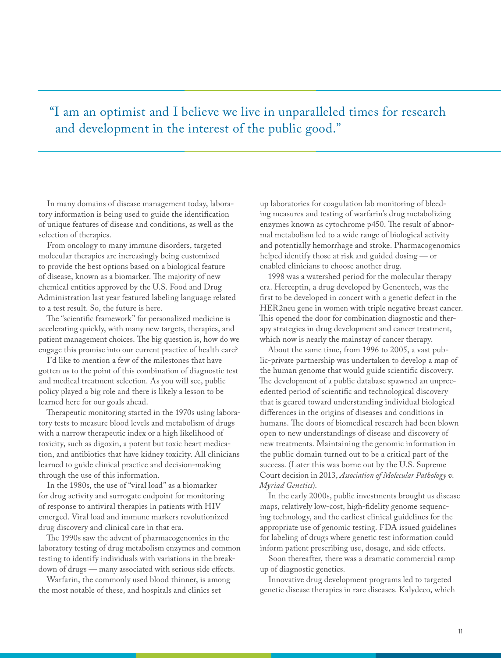#### "I am an optimist and I believe we live in unparalleled times for research and development in the interest of the public good."

In many domains of disease management today, laboratory information is being used to guide the identification of unique features of disease and conditions, as well as the selection of therapies.

From oncology to many immune disorders, targeted molecular therapies are increasingly being customized to provide the best options based on a biological feature of disease, known as a biomarker. The majority of new chemical entities approved by the U.S. Food and Drug Administration last year featured labeling language related to a test result. So, the future is here.

The "scientific framework" for personalized medicine is accelerating quickly, with many new targets, therapies, and patient management choices. The big question is, how do we engage this promise into our current practice of health care?

I'd like to mention a few of the milestones that have gotten us to the point of this combination of diagnostic test and medical treatment selection. As you will see, public policy played a big role and there is likely a lesson to be learned here for our goals ahead.

Therapeutic monitoring started in the 1970s using laboratory tests to measure blood levels and metabolism of drugs with a narrow therapeutic index or a high likelihood of toxicity, such as digoxin, a potent but toxic heart medication, and antibiotics that have kidney toxicity. All clinicians learned to guide clinical practice and decision-making through the use of this information.

In the 1980s, the use of "viral load" as a biomarker for drug activity and surrogate endpoint for monitoring of response to antiviral therapies in patients with HIV emerged. Viral load and immune markers revolutionized drug discovery and clinical care in that era.

The 1990s saw the advent of pharmacogenomics in the laboratory testing of drug metabolism enzymes and common testing to identify individuals with variations in the breakdown of drugs — many associated with serious side effects.

Warfarin, the commonly used blood thinner, is among the most notable of these, and hospitals and clinics set

up laboratories for coagulation lab monitoring of bleeding measures and testing of warfarin's drug metabolizing enzymes known as cytochrome p450. The result of abnormal metabolism led to a wide range of biological activity and potentially hemorrhage and stroke. Pharmacogenomics helped identify those at risk and guided dosing — or enabled clinicians to choose another drug.

1998 was a watershed period for the molecular therapy era. Herceptin, a drug developed by Genentech, was the first to be developed in concert with a genetic defect in the HER2neu gene in women with triple negative breast cancer. This opened the door for combination diagnostic and therapy strategies in drug development and cancer treatment, which now is nearly the mainstay of cancer therapy.

About the same time, from 1996 to 2005, a vast public-private partnership was undertaken to develop a map of the human genome that would guide scientific discovery. The development of a public database spawned an unprecedented period of scientific and technological discovery that is geared toward understanding individual biological differences in the origins of diseases and conditions in humans. The doors of biomedical research had been blown open to new understandings of disease and discovery of new treatments. Maintaining the genomic information in the public domain turned out to be a critical part of the success. (Later this was borne out by the U.S. Supreme Court decision in 2013, *Association of Molecular Pathology v. Myriad Genetics*).

In the early 2000s, public investments brought us disease maps, relatively low-cost, high-fidelity genome sequencing technology, and the earliest clinical guidelines for the appropriate use of genomic testing. FDA issued guidelines for labeling of drugs where genetic test information could inform patient prescribing use, dosage, and side effects.

Soon thereafter, there was a dramatic commercial ramp up of diagnostic genetics.

Innovative drug development programs led to targeted genetic disease therapies in rare diseases. Kalydeco, which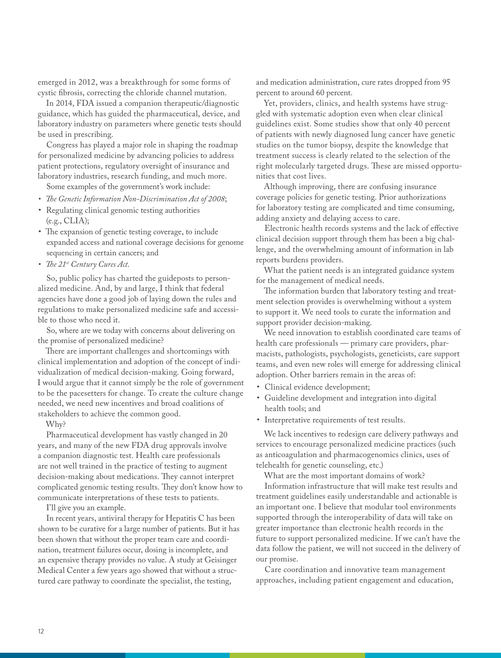emerged in 2012, was a breakthrough for some forms of cystic fibrosis, correcting the chloride channel mutation.

In 2014, FDA issued a companion therapeutic/diagnostic guidance, which has guided the pharmaceutical, device, and laboratory industry on parameters where genetic tests should be used in prescribing.

Congress has played a major role in shaping the roadmap for personalized medicine by advancing policies to address patient protections, regulatory oversight of insurance and laboratory industries, research funding, and much more.

Some examples of the government's work include:

- *• The Genetic Information Non-Discrimination Act of 2008*;
- Regulating clinical genomic testing authorities (e.g., CLIA);
- The expansion of genetic testing coverage, to include expanded access and national coverage decisions for genome sequencing in certain cancers; and
- *• The 21st Century Cures Act*.

So, public policy has charted the guideposts to personalized medicine. And, by and large, I think that federal agencies have done a good job of laying down the rules and regulations to make personalized medicine safe and accessible to those who need it.

So, where are we today with concerns about delivering on the promise of personalized medicine?

There are important challenges and shortcomings with clinical implementation and adoption of the concept of individualization of medical decision-making. Going forward, I would argue that it cannot simply be the role of government to be the pacesetters for change. To create the culture change needed, we need new incentives and broad coalitions of stakeholders to achieve the common good.

Why?

Pharmaceutical development has vastly changed in 20 years, and many of the new FDA drug approvals involve a companion diagnostic test. Health care professionals are not well trained in the practice of testing to augment decision-making about medications. They cannot interpret complicated genomic testing results. They don't know how to communicate interpretations of these tests to patients.

I'll give you an example.

In recent years, antiviral therapy for Hepatitis C has been shown to be curative for a large number of patients. But it has been shown that without the proper team care and coordination, treatment failures occur, dosing is incomplete, and an expensive therapy provides no value. A study at Geisinger Medical Center a few years ago showed that without a structured care pathway to coordinate the specialist, the testing,

and medication administration, cure rates dropped from 95 percent to around 60 percent.

Yet, providers, clinics, and health systems have struggled with systematic adoption even when clear clinical guidelines exist. Some studies show that only 40 percent of patients with newly diagnosed lung cancer have genetic studies on the tumor biopsy, despite the knowledge that treatment success is clearly related to the selection of the right molecularly targeted drugs. These are missed opportunities that cost lives.

Although improving, there are confusing insurance coverage policies for genetic testing. Prior authorizations for laboratory testing are complicated and time consuming, adding anxiety and delaying access to care.

Electronic health records systems and the lack of effective clinical decision support through them has been a big challenge, and the overwhelming amount of information in lab reports burdens providers.

What the patient needs is an integrated guidance system for the management of medical needs.

The information burden that laboratory testing and treatment selection provides is overwhelming without a system to support it. We need tools to curate the information and support provider decision-making.

We need innovation to establish coordinated care teams of health care professionals — primary care providers, pharmacists, pathologists, psychologists, geneticists, care support teams, and even new roles will emerge for addressing clinical adoption. Other barriers remain in the areas of:

- Clinical evidence development;
- Guideline development and integration into digital health tools; and
- Interpretative requirements of test results.

We lack incentives to redesign care delivery pathways and services to encourage personalized medicine practices (such as anticoagulation and pharmacogenomics clinics, uses of telehealth for genetic counseling, etc.)

What are the most important domains of work?

Information infrastructure that will make test results and treatment guidelines easily understandable and actionable is an important one. I believe that modular tool environments supported through the interoperability of data will take on greater importance than electronic health records in the future to support personalized medicine. If we can't have the data follow the patient, we will not succeed in the delivery of our promise.

Care coordination and innovative team management approaches, including patient engagement and education,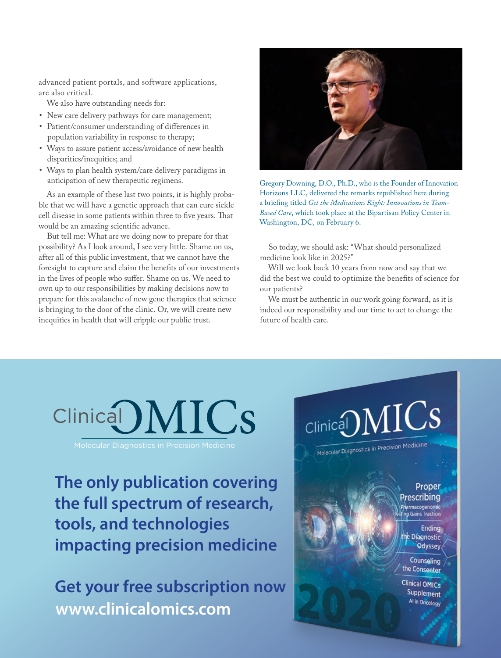advanced patient portals, and software applications, are also critical.

We also have outstanding needs for:

- New care delivery pathways for care management;
- Patient/consumer understanding of differences in population variability in response to therapy;
- Ways to assure patient access/avoidance of new health disparities/inequities; and
- Ways to plan health system/care delivery paradigms in anticipation of new therapeutic regimens.

As an example of these last two points, it is highly probable that we will have a genetic approach that can cure sickle cell disease in some patients within three to five years. That would be an amazing scientific advance.

But tell me: What are we doing now to prepare for that possibility? As I look around, I see very little. Shame on us, after all of this public investment, that we cannot have the foresight to capture and claim the benefits of our investments in the lives of people who suffer. Shame on us. We need to own up to our responsibilities by making decisions now to prepare for this avalanche of new gene therapies that science is bringing to the door of the clinic. Or, we will create new inequities in health that will cripple our public trust.



Gregory Downing, D.O., Ph.D., who is the Founder of Innovation Horizons LLC, delivered the remarks republished here during a briefing titled *Get the Medications Right: Innovations in Team-Based Care*, which took place at the Bipartisan Policy Center in Washington, DC, on February 6.

So today, we should ask: "What should personalized medicine look like in 2025?"

Will we look back 10 years from now and say that we did the best we could to optimize the benefits of science for our patients?

We must be authentic in our work going forward, as it is indeed our responsibility and our time to act to change the future of health care.



**The only publication covering the full spectrum of research, tools, and technologies impacting precision medicine**

**Get your free subscription now www.clinicalomics.com**

# $Clinic$ al)  $MICS$

Molecular Diagnostics in Precision Medi

#### Proper **Prescribing** Pharmacogenomic

g Gains Traction

**Ending** e Dïagnostic Odyssey

Counseling the Consenter

**Clinical OMICs** Supplement Al in Oncology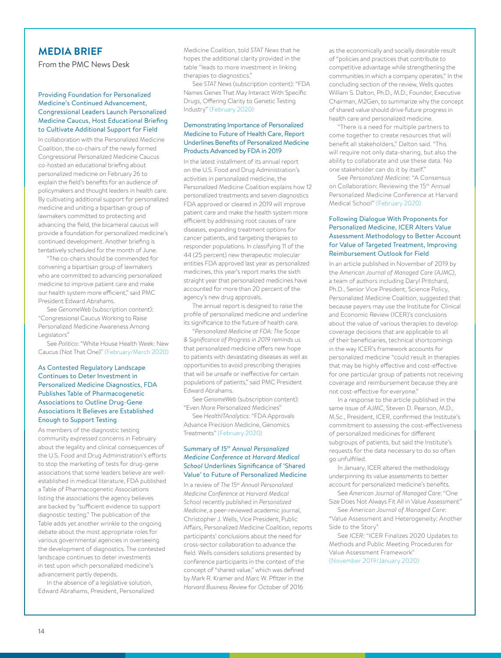#### **MEDIA BRIEF**

From the PMC News Desk

#### Providing Foundation for Personalized Medicine's Continued Advancement, Congressional Leaders Launch Personalized Medicine Caucus, Host Educational Briefing to Cultivate Additional Support for Field

In collaboration with the Personalized Medicine Coalition, the co-chairs of the newly formed Congressional Personalized Medicine Caucus co-hosted an educational briefing about personalized medicine on February 26 to explain the field's benefits for an audience of policymakers and thought leaders in health care. By cultivating additional support for personalized medicine and uniting a bipartisan group of lawmakers committed to protecting and advancing the field, the bicameral caucus will provide a foundation for personalized medicine's continued development. Another briefing is tentatively scheduled for the month of June.

"The co-chairs should be commended for convening a bipartisan group of lawmakers who are committed to advancing personalized medicine to improve patient care and make our health system more efficient," said PMC President Edward Abrahams.

See *GenomeWeb* (subscription content): "Congressional Caucus Working to Raise Personalized Medicine Awareness Among Legislators"

See *Politico*: "White House Health Week: New Caucus (Not That One)" (February/March 2020)

#### As Contested Regulatory Landscape Continues to Deter Investment in Personalized Medicine Diagnostics, FDA Publishes Table of Pharmacogenetic Associations to Outline Drug-Gene Associations It Believes are Established Enough to Support Testing

As members of the diagnostic testing community expressed concerns in February about the legality and clinical consequences of the U.S. Food and Drug Administration's efforts to stop the marketing of tests for drug-gene associations that some leaders believe are wellestablished in medical literature, FDA published a Table of Pharmacogenetic Associations listing the associations the agency believes are backed by "sufficient evidence to support diagnostic testing." The publication of the Table adds yet another wrinkle to the ongoing debate about the most appropriate roles for various governmental agencies in overseeing the development of diagnostics. The contested landscape continues to deter investments in test upon which personalized medicine's advancement partly depends.

In the absence of a legislative solution, Edward Abrahams, President, Personalized Medicine Coalition, told *STAT News* that he hopes the additional clarity provided in the table "leads to more investment in linking therapies to diagnostics."

See *STAT News* (subscription content): "FDA Names Genes That May Interact With Specific Drugs, Offering Clarity to Genetic Testing Industry" (February 2020)

#### Demonstrating Importance of Personalized Medicine to Future of Health Care, Report Underlines Benefits of Personalized Medicine Products Advanced by FDA in 2019

In the latest installment of its annual report on the U.S. Food and Drug Administration's activities in personalized medicine, the Personalized Medicine Coalition explains how 12 personalized treatments and seven diagnostics FDA approved or cleared in 2019 will improve patient care and make the health system more efficient by addressing root causes of rare diseases, expanding treatment options for cancer patients, and targeting therapies to responder populations. In classifying 11 of the 44 (25 percent) new therapeutic molecular entities FDA approved last year as personalized medicines, this year's report marks the sixth straight year that personalized medicines have accounted for more than 20 percent of the agency's new drug approvals.

The annual report is designed to raise the profile of personalized medicine and underline its significance to the future of health care.

"*Personalized Medicine at FDA: The Scope & Significance of Progress in 2019* reminds us that personalized medicine offers new hope to patients with devastating diseases as well as opportunities to avoid prescribing therapies that will be unsafe or ineffective for certain populations of patients," said PMC President Edward Abrahams.

See *GenomeWeb* (subscription content): "Even More Personalized Medicines"

See *HealthITAnalytics*: "FDA Approvals Advance Precision Medicine, Genomics Treatments" (February 2020)

#### Summary of *15th Annual Personalized Medicine Conference at Harvard Medical School* Underlines Significance of 'Shared Value' to Future of Personalized Medicine

In a review of *The 15th Annual Personalized Medicine Conference at Harvard Medical School* recently published in *Personalized Medicine*, a peer-reviewed academic journal, Christopher J. Wells, Vice President, Public Affairs, Personalized Medicine Coalition, reports participants' conclusions about the need for cross-sector collaboration to advance the field. Wells considers solutions presented by conference participants in the context of the concept of "shared value," which was defined by Mark R. Kramer and Marc W. Pfitzer in the *Harvard Business Review* for October of 2016

as the economically and socially desirable result of "policies and practices that contribute to competitive advantage while strengthening the communities in which a company operates." In the concluding section of the review, Wells quotes William S. Dalton, Ph.D., M.D., Founder, Executive Chairman, M2Gen, to summarize why the concept of shared value should drive future progress in health care and personalized medicine.

"There is a need for multiple partners to come together to create resources that will benefit all stakeholders," Dalton said. "This will require not only data-sharing, but also the ability to collaborate and use these data. No one stakeholder can do it by itself."

See *Personalized Medicine*: "A Consensus on Collaboration: Reviewing the 15<sup>th</sup> Annual Personalized Medicine Conference at Harvard Medical School" (February 2020)

#### Following Dialogue With Proponents for Personalized Medicine, ICER Alters Value Assessment Methodology to Better Account for Value of Targeted Treatment, Improving Reimbursement Outlook for Field

In an article published in November of 2019 by the *American Journal of Managed Care (AJMC)*, a team of authors including Daryl Pritchard, Ph.D., Senior Vice President, Science Policy, Personalized Medicine Coalition, suggested that because payers may use the Institute for Clinical and Economic Review (ICER)'s conclusions about the value of various therapies to develop coverage decisions that are applicable to all of their beneficiaries, technical shortcomings in the way ICER's framework accounts for personalized medicine "could result in therapies that may be highly effective and cost-effective for one particular group of patients not receiving coverage and reimbursement because they are not cost-effective for everyone."

In a response to the article published in the same issue of *AJMC*, Steven D. Pearson, M.D., M.Sc., President, ICER, confirmed the Institute's commitment to assessing the cost-effectiveness of personalized medicines for different subgroups of patients, but said the Institute's requests for the data necessary to do so often go unfulfilled.

In January, ICER altered the methodology underpinning its value assessments to better account for personalized medicine's benefits.

See *American Journal of Managed Care*: "One Size Does Not Always Fit All in Value Assessment"

See *American Journal of Managed Care*: "Value Assessment and Heterogeneity: Another Side to the Story"

See *ICER*: "ICER Finalizes 2020 Updates to Methods and Public Meeting Procedures for Value Assessment Framework" (November 2019/January 2020)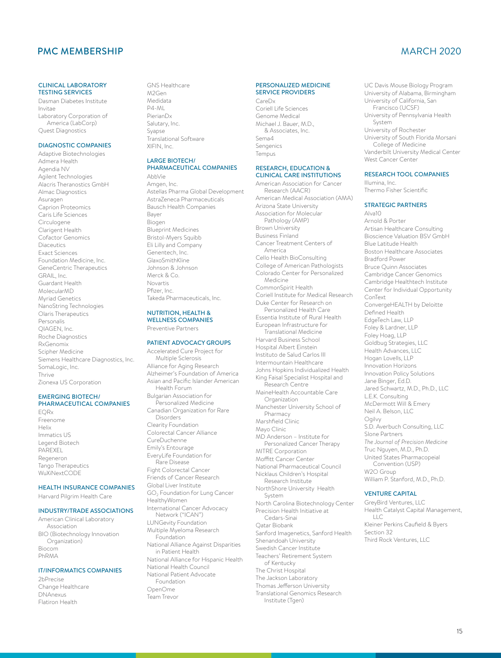#### PMC MEMBERSHIP MARCH 2020

#### CLINICAL LABORATORY TESTING SERVICES

Dasman Diabetes Institute Invitae Laboratory Corporation of America (LabCorp) Quest Diagnostics

#### DIAGNOSTIC COMPANIES

Adaptive Biotechnologies Admera Health Agendia NV Agilent Technologies Alacris Theranostics GmbH Almac Diagnostics Asuragen Caprion Proteomics Caris Life Sciences Circulogene Clarigent Health Cofactor Genomics **Diaceutics** Exact Sciences Foundation Medicine, Inc. GeneCentric Therapeutics GRAIL, Inc. Guardant Health MolecularMD Myriad Genetics NanoString Technologies Olaris Therapeutics Personalis QIAGEN, Inc. Roche Diagnostics RxGenomix Scipher Medicine Siemens Healthcare Diagnostics, Inc. SomaLogic, Inc. Thrive Zionexa US Corporation

#### EMERGING BIOTECH/ PHARMACEUTICAL COMPANIES

EQRx Freenome Helix Immatics US Legend Biotech **PAREXEL** Regeneron Tango Therapeutics WuXiNextCODE

#### HEALTH INSURANCE COMPANIES

Harvard Pilgrim Health Care

#### INDUSTRY/TRADE ASSOCIATIONS

American Clinical Laboratory Association BIO (Biotechnology Innovation Organization) Biocom PhRMA

#### IT/INFORMATICS COMPANIES

2bPrecise Change Healthcare DNAnexus Flatiron Health

GNS Healthcare M2Gen Medidata P4-ML PierianDx Salutary, Inc. Syapse Translational Software XIFIN, Inc.

#### LARGE BIOTECH/ PHARMACEUTICAL COMPANIES

AbbVie Amgen, Inc. Astellas Pharma Global Development AstraZeneca Pharmaceuticals Bausch Health Companies Bayer Biogen Blueprint Medicines Bristol-Myers Squibb Eli Lilly and Company Genentech, Inc. GlaxoSmithKline Johnson & Johnson Merck & Co. Novartis Pfizer, Inc. Takeda Pharmaceuticals, Inc.

#### NUTRITION, HEALTH & WELLNESS COMPANIES Preventive Partners

#### PATIENT ADVOCACY GROUPS

Accelerated Cure Project for Multiple Sclerosis Alliance for Aging Research Alzheimer's Foundation of America Asian and Pacific Islander American Health Forum Bulgarian Association for Personalized Medicine Canadian Organization for Rare Disorders Clearity Foundation Colorectal Cancer Alliance CureDuchenne Emily's Entourage EveryLife Foundation for Rare Disease Fight Colorectal Cancer Friends of Cancer Research Global Liver Institute GO2 Foundation for Lung Cancer HealthyWomen International Cancer Advocacy Network ("ICAN") LUNGevity Foundation Multiple Myeloma Research Foundation National Alliance Against Disparities in Patient Health National Alliance for Hispanic Health National Health Council National Patient Advocate Foundation OpenOme Team Trevor

#### PERSONALIZED MEDICINE SERVICE PROVIDERS

CareDx Coriell Life Sciences Genome Medical Michael J. Bauer, M.D., & Associates, Inc. Sema4 Sengenics Tempus

#### RESEARCH, EDUCATION & CLINICAL CARE INSTITUTIONS

American Association for Cancer Research (AACR) American Medical Association (AMA) Arizona State University Association for Molecular Pathology (AMP) Brown University Business Finland Cancer Treatment Centers of America Cello Health BioConsulting College of American Pathologists Colorado Center for Personalized *Medicine* CommonSpirit Health Coriell Institute for Medical Research Duke Center for Research on Personalized Health Care Essentia Institute of Rural Health European Infrastructure for Translational Medicine Harvard Business School Hospital Albert Einstein Instituto de Salud Carlos III Intermountain Healthcare Johns Hopkins Individualized Health King Faisal Specialist Hospital and Research Centre MaineHealth Accountable Care Organization Manchester University School of Pharmacy Marshfield Clinic Mayo Clinic MD Anderson – Institute for Personalized Cancer Therapy MITRE Corporation Moffitt Cancer Center National Pharmaceutical Council Nicklaus Children's Hospital Research Institute NorthShore University Health System North Carolina Biotechnology Center Precision Health Initiative at Cedars-Sinai Qatar Biobank Sanford Imagenetics, Sanford Health Shenandoah University Swedish Cancer Institute Teachers' Retirement System of Kentucky The Christ Hospital The Jackson Laboratory Thomas Jefferson University Translational Genomics Research Institute (Tgen)

UC Davis Mouse Biology Program University of Alabama, Birmingham University of California, San Francisco (UCSF) University of Pennsylvania Health System University of Rochester University of South Florida Morsani College of Medicine Vanderbilt University Medical Center West Cancer Center

#### RESEARCH TOOL COMPANIES

Illumina, Inc. Thermo Fisher Scientific

#### STRATEGIC PARTNERS

Alva10 Arnold & Porter Artisan Healthcare Consulting Bioscience Valuation BSV GmbH Blue Latitude Health Boston Healthcare Associates Bradford Power Bruce Quinn Associates Cambridge Cancer Genomics Cambridge Healthtech Institute Center for Individual Opportunity ConText ConvergeHEALTH by Deloitte Defined Health EdgeTech Law, LLP Foley & Lardner, LLP Foley Hoag, LLP Goldbug Strategies, LLC Health Advances, LLC Hogan Lovells, LLP Innovation Horizons Innovation Policy Solutions Jane Binger, Ed.D. Jared Schwartz, M.D., Ph.D., LLC L.E.K. Consulting McDermott Will & Emery Neil A. Belson, LLC Ogilvy S.D. Averbuch Consulting, LLC Slone Partners *The Journal of Precision Medicine*  Truc Nguyen, M.D., Ph.D. United States Pharmacopeial Convention (USP) W2O Group William P. Stanford, M.D., Ph.D.

#### VENTURE CAPITAL

GreyBird Ventures, LLC Health Catalyst Capital Management,  $\Box$ C Kleiner Perkins Caufield & Byers Section 32 Third Rock Ventures, LLC